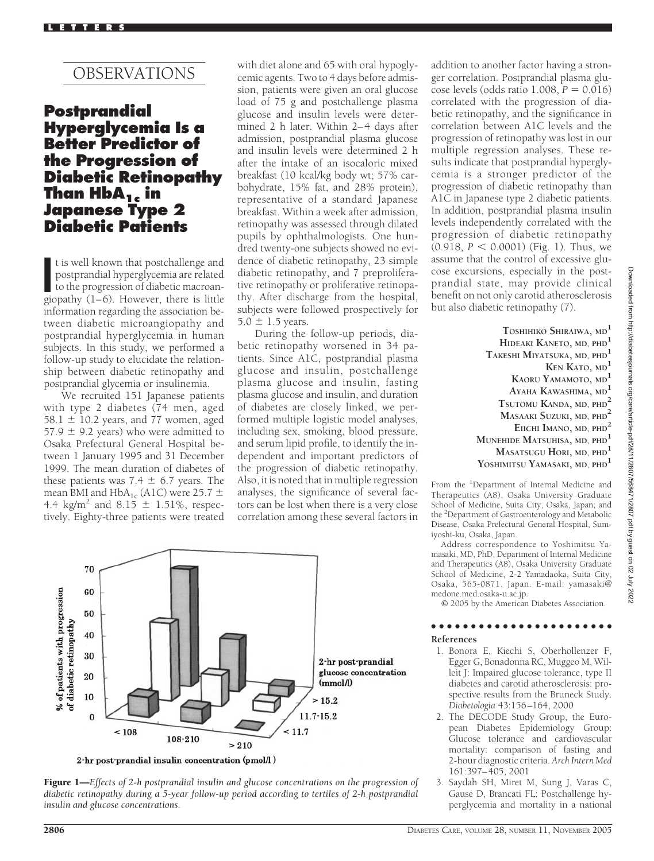# OBSERVATIONS

# **Postprandial Hyperglycemia Is a Better Predictor of the Progression of Diabetic Retinopathy Than HbA1c in Japanese Type 2 Diabetic Patients**

t is well known that postchallenge and<br>postprandial hyperglycemia are related<br>to the progression of diabetic macroan-<br>giopathy (1–6). However, there is little t is well known that postchallenge and postprandial hyperglycemia are related to the progression of diabetic macroaninformation regarding the association between diabetic microangiopathy and postprandial hyperglycemia in human subjects. In this study, we performed a follow-up study to elucidate the relationship between diabetic retinopathy and postprandial glycemia or insulinemia.

We recruited 151 Japanese patients with type 2 diabetes (74 men, aged  $58.1 \pm 10.2$  years, and 77 women, aged 57.9  $\pm$  9.2 years) who were admitted to Osaka Prefectural General Hospital between 1 January 1995 and 31 December 1999. The mean duration of diabetes of these patients was 7.4  $\pm$  6.7 years. The mean BMI and  $HbA_{1c}$  (A1C) were 25.7  $\pm$ 4.4 kg/m<sup>2</sup> and  $8.15 \pm 1.51\%$ , respectively. Eighty-three patients were treated

with diet alone and 65 with oral hypoglycemic agents. Two to 4 days before admission, patients were given an oral glucose load of 75 g and postchallenge plasma glucose and insulin levels were determined 2 h later. Within 2–4 days after admission, postprandial plasma glucose and insulin levels were determined 2 h after the intake of an isocaloric mixed breakfast (10 kcal/kg body wt; 57% carbohydrate, 15% fat, and 28% protein), representative of a standard Japanese breakfast. Within a week after admission, retinopathy was assessed through dilated pupils by ophthalmologists. One hundred twenty-one subjects showed no evidence of diabetic retinopathy, 23 simple diabetic retinopathy, and 7 preproliferative retinopathy or proliferative retinopathy. After discharge from the hospital, subjects were followed prospectively for  $5.0 \pm 1.5$  years.

During the follow-up periods, diabetic retinopathy worsened in 34 patients. Since A1C, postprandial plasma glucose and insulin, postchallenge plasma glucose and insulin, fasting plasma glucose and insulin, and duration of diabetes are closely linked, we performed multiple logistic model analyses, including sex, smoking, blood pressure, and serum lipid profile, to identify the independent and important predictors of the progression of diabetic retinopathy. Also, it is noted that in multiple regression analyses, the significance of several factors can be lost when there is a very close correlation among these several factors in addition to another factor having a stronger correlation. Postprandial plasma glucose levels (odds ratio 1.008, *P* - 0.016) correlated with the progression of diabetic retinopathy, and the significance in correlation between A1C levels and the progression of retinopathy was lost in our multiple regression analyses. These results indicate that postprandial hyperglycemia is a stronger predictor of the progression of diabetic retinopathy than A1C in Japanese type 2 diabetic patients. In addition, postprandial plasma insulin levels independently correlated with the progression of diabetic retinopathy  $(0.918, P < 0.0001)$  (Fig. 1). Thus, we assume that the control of excessive glucose excursions, especially in the postprandial state, may provide clinical benefit on not only carotid atherosclerosis but also diabetic retinopathy (7).

> **TOSHIHIKO SHIRAIWA, MD<sup>1</sup> HIDEAKI KANETO, MD, PHD<sup>1</sup> TAKESHI MIYATSUKA, MD, PHD<sup>1</sup> KEN KATO, MD<sup>1</sup> KAORU YAMAMOTO, MD<sup>1</sup> AYAHA KAWASHIMA, MD<sup>1</sup> TSUTOMU KANDA, MD, PHD<sup>2</sup> MASAAKI SUZUKI, MD, PHD<sup>2</sup> EIICHI IMANO, MD, PHD<sup>2</sup> MUNEHIDE MATSUHISA, MD, PHD<sup>1</sup> MASATSUGU HORI, MD, PHD<sup>1</sup> YOSHIMITSU YAMASAKI, MD, PHD<sup>1</sup>**

From the <sup>1</sup>Department of Internal Medicine and Therapeutics (A8), Osaka University Graduate School of Medicine, Suita City, Osaka, Japan; and the <sup>2</sup>Department of Gastroenterology and Metabolic Disease, Osaka Prefectural General Hospital, Sumiyoshi-ku, Osaka, Japan.

Address correspondence to Yoshimitsu Yamasaki, MD, PhD, Department of Internal Medicine and Therapeutics (A8), Osaka University Graduate School of Medicine, 2-2 Yamadaoka, Suita City, Osaka, 565-0871, Japan. E-mail: yamasaki@ medone.med.osaka-u.ac.jp.

© 2005 by the American Diabetes Association.

### ●●●●●●●●●●●●●●●●●●●●●●● **References**

- 1. Bonora E, Kiechi S, Oberhollenzer F, Egger G, Bonadonna RC, Muggeo M, Willeit J: Impaired glucose tolerance, type II diabetes and carotid atherosclerosis: prospective results from the Bruneck Study. *Diabetologia* 43:156–164, 2000
- 2. The DECODE Study Group, the European Diabetes Epidemiology Group: Glucose tolerance and cardiovascular mortality: comparison of fasting and 2-hour diagnostic criteria. *Arch Intern Med* 161:397–405, 2001
- 3. Saydah SH, Miret M, Sung J, Varas C, Gause D, Brancati FL: Postchallenge hyperglycemia and mortality in a national



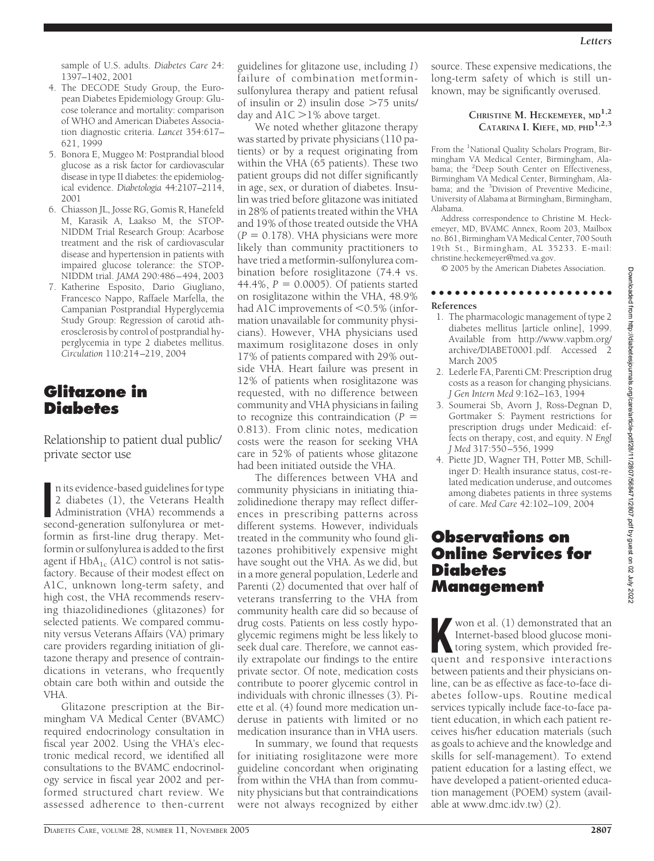sample of U.S. adults. *Diabetes Care* 24: 1397–1402, 2001

- 4. The DECODE Study Group, the European Diabetes Epidemiology Group: Glucose tolerance and mortality: comparison of WHO and American Diabetes Association diagnostic criteria. *Lancet* 354:617– 621, 1999
- 5. Bonora E, Muggeo M: Postprandial blood glucose as a risk factor for cardiovascular disease in type II diabetes: the epidemiological evidence. *Diabetologia* 44:2107–2114, 2001
- 6. Chiasson JL, Josse RG, Gomis R, Hanefeld M, Karasik A, Laakso M, the STOP-NIDDM Trial Research Group: Acarbose treatment and the risk of cardiovascular disease and hypertension in patients with impaired glucose tolerance: the STOP-NIDDM trial. *JAMA* 290:486–494, 2003
- 7. Katherine Esposito, Dario Giugliano, Francesco Nappo, Raffaele Marfella, the Campanian Postprandial Hyperglycemia Study Group: Regression of carotid atherosclerosis by control of postprandial hyperglycemia in type 2 diabetes mellitus. *Circulation* 110:214–219, 2004

# **Glitazone in Diabetes**

Relationship to patient dual public/ private sector use

n its evidence-based guidelines for type<br>
2 diabetes (1), the Veterans Health<br>
Administration (VHA) recommends a<br>
second-generation sulfonylurea or metn its evidence-based guidelines for type 2 diabetes (1), the Veterans Health second-generation sulfonylurea or metformin as first-line drug therapy. Metformin or sulfonylurea is added to the first agent if  $HbA_{1c}$  (A1C) control is not satisfactory. Because of their modest effect on A1C, unknown long-term safety, and high cost, the VHA recommends reserving thiazolidinediones (glitazones) for selected patients. We compared community versus Veterans Affairs (VA) primary care providers regarding initiation of glitazone therapy and presence of contraindications in veterans, who frequently obtain care both within and outside the VHA.

Glitazone prescription at the Birmingham VA Medical Center (BVAMC) required endocrinology consultation in fiscal year 2002. Using the VHA's electronic medical record, we identified all consultations to the BVAMC endocrinology service in fiscal year 2002 and performed structured chart review. We assessed adherence to then-current

guidelines for glitazone use, including *1*) failure of combination metforminsulfonylurea therapy and patient refusal of insulin or *2*) insulin dose 75 units/ day and  $A1C > 1%$  above target.

We noted whether glitazone therapy was started by private physicians (110 patients) or by a request originating from within the VHA (65 patients). These two patient groups did not differ significantly in age, sex, or duration of diabetes. Insulin was tried before glitazone was initiated in 28% of patients treated within the VHA and 19% of those treated outside the VHA  $(P = 0.178)$ . VHA physicians were more likely than community practitioners to have tried a metformin-sulfonylurea combination before rosiglitazone (74.4 vs.  $44.4\%$ ,  $P = 0.0005$ ). Of patients started on rosiglitazone within the VHA, 48.9% had A1C improvements of  $<$  0.5% (information unavailable for community physicians). However, VHA physicians used maximum rosiglitazone doses in only 17% of patients compared with 29% outside VHA. Heart failure was present in 12% of patients when rosiglitazone was requested, with no difference between community and VHA physicians in failing to recognize this contraindication  $(P =$ 0.813). From clinic notes, medication costs were the reason for seeking VHA care in 52% of patients whose glitazone had been initiated outside the VHA.

The differences between VHA and community physicians in initiating thiazolidinedione therapy may reflect differences in prescribing patterns across different systems. However, individuals treated in the community who found glitazones prohibitively expensive might have sought out the VHA. As we did, but in a more general population, Lederle and Parenti (2) documented that over half of veterans transferring to the VHA from community health care did so because of drug costs. Patients on less costly hypoglycemic regimens might be less likely to seek dual care. Therefore, we cannot easily extrapolate our findings to the entire private sector. Of note, medication costs contribute to poorer glycemic control in individuals with chronic illnesses (3). Piette et al. (4) found more medication underuse in patients with limited or no medication insurance than in VHA users.

In summary, we found that requests for initiating rosiglitazone were more guideline concordant when originating from within the VHA than from community physicians but that contraindications were not always recognized by either

source. These expensive medications, the long-term safety of which is still unknown, may be significantly overused.

### **CHRISTINE M. HECKEMEYER, MD1,2 CATARINA I. KIEFE, MD, PHD1,2,3**

From the <sup>1</sup>National Quality Scholars Program, Birmingham VA Medical Center, Birmingham, Alabama; the <sup>2</sup>Deep South Center on Effectiveness, Birmingham VA Medical Center, Birmingham, Alabama; and the <sup>3</sup>Division of Preventive Medicine, University of Alabama at Birmingham, Birmingham, Alabama.

Address correspondence to Christine M. Heckemeyer, MD, BVAMC Annex, Room 203, Mailbox no. B61, Birmingham VA Medical Center, 700 South 19th St., Birmingham, AL 35233. E-mail: christine.heckemeyer@med.va.gov.

© 2005 by the American Diabetes Association.

### ●●●●●●●●●●●●●●●●●●●●●●●

### **References**

- 1. The pharmacologic management of type 2 diabetes mellitus [article online], 1999. Available from http://www.vapbm.org/ archive/DIABET0001.pdf. Accessed 2 March 2005
- 2. Lederle FA, Parenti CM: Prescription drug costs as a reason for changing physicians. *J Gen Intern Med* 9:162–163, 1994
- 3. Soumerai Sb, Avorn J, Ross-Degnan D, Gortmaker S: Payment restrictions for prescription drugs under Medicaid: effects on therapy, cost, and equity. *N Engl J Med* 317:550–556, 1999
- 4. Piette JD, Wagner TH, Potter MB, Schillinger D: Health insurance status, cost-related medication underuse, and outcomes among diabetes patients in three systems of care. *Med Care* 42:102–109, 2004

# **Observations on Online Services for Diabetes Management**

**K** won et al. (1) demonstrated that an Internet-based blood glucose monitoring system, which provided frequent and responsive interactions Internet-based blood glucose moniquent and responsive interactions between patients and their physicians online, can be as effective as face-to-face diabetes follow-ups. Routine medical services typically include face-to-face patient education, in which each patient receives his/her education materials (such as goals to achieve and the knowledge and skills for self-management). To extend patient education for a lasting effect, we have developed a patient-oriented education management (POEM) system (available at www.dmc.idv.tw) (2).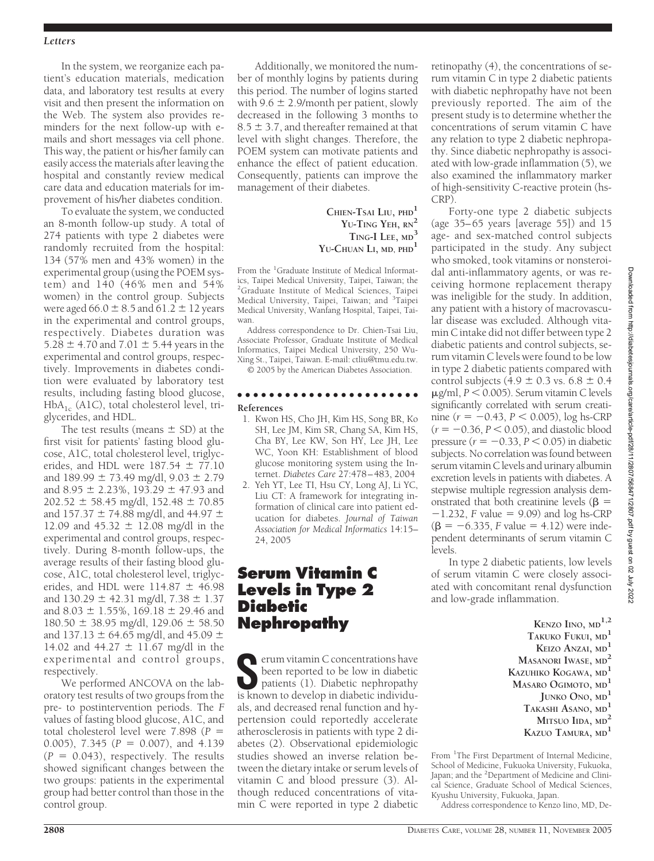### *Letters*

In the system, we reorganize each patient's education materials, medication data, and laboratory test results at every visit and then present the information on the Web. The system also provides reminders for the next follow-up with emails and short messages via cell phone. This way, the patient or his/her family can easily access the materials after leaving the hospital and constantly review medical care data and education materials for improvement of his/her diabetes condition.

To evaluate the system, we conducted an 8-month follow-up study. A total of 274 patients with type 2 diabetes were randomly recruited from the hospital: 134 (57% men and 43% women) in the experimental group (using the POEM system) and 140 (46% men and 54% women) in the control group. Subjects were aged 66.0  $\pm$  8.5 and 61.2  $\pm$  12 years in the experimental and control groups, respectively. Diabetes duration was 5.28  $\pm$  4.70 and 7.01  $\pm$  5.44 years in the experimental and control groups, respectively. Improvements in diabetes condition were evaluated by laboratory test results, including fasting blood glucose,  $HbA_{1c}$  (A1C), total cholesterol level, triglycerides, and HDL.

The test results (means  $\pm$  SD) at the first visit for patients' fasting blood glucose, A1C, total cholesterol level, triglycerides, and HDL were  $187.54 \pm 77.10$ and  $189.99 \pm 73.49$  mg/dl,  $9.03 \pm 2.79$ and 8.95  $\pm$  2.23%, 193.29  $\pm$  47.93 and  $202.52 \pm 58.45$  mg/dl, 152.48  $\pm$  70.85 and 157.37  $\pm$  74.88 mg/dl, and 44.97  $\pm$ 12.09 and  $45.32 \pm 12.08$  mg/dl in the experimental and control groups, respectively. During 8-month follow-ups, the average results of their fasting blood glucose, A1C, total cholesterol level, triglycerides, and HDL were  $114.87 \pm 46.98$ and  $130.29 \pm 42.31$  mg/dl,  $7.38 \pm 1.37$ and 8.03  $\pm$  1.55%, 169.18  $\pm$  29.46 and  $180.50 \pm 38.95$  mg/dl,  $129.06 \pm 58.50$ and 137.13  $\pm$  64.65 mg/dl, and 45.09  $\pm$ 14.02 and  $44.27 \pm 11.67$  mg/dl in the experimental and control groups, respectively.

We performed ANCOVA on the laboratory test results of two groups from the pre- to postintervention periods. The *F* values of fasting blood glucose, A1C, and total cholesterol level were  $7.898$  ( $P =$ 0.005), 7.345 ( $P = 0.007$ ), and 4.139  $(P = 0.043)$ , respectively. The results showed significant changes between the two groups: patients in the experimental group had better control than those in the control group.

Additionally, we monitored the number of monthly logins by patients during this period. The number of logins started with  $9.6 \pm 2.9$ /month per patient, slowly decreased in the following 3 months to  $8.5 \pm 3.7$ , and thereafter remained at that level with slight changes. Therefore, the POEM system can motivate patients and enhance the effect of patient education. Consequently, patients can improve the management of their diabetes.

> **CHIEN-TSAI LIU, PHD<sup>1</sup> YU-TING YEH, RN<sup>2</sup> TING-I LEE, MD<sup>3</sup> YU-CHUAN LI, MD, PHD<sup>1</sup>**

From the <sup>1</sup>Graduate Institute of Medical Informatics, Taipei Medical University, Taipei, Taiwan; the 2 Graduate Institute of Medical Sciences, Taipei Medical University, Taipei, Taiwan; and <sup>3</sup>Taipei Medical University, Wanfang Hospital, Taipei, Taiwan.

Address correspondence to Dr. Chien-Tsai Liu, Associate Professor, Graduate Institute of Medical Informatics, Taipei Medical University, 250 Wu-Xing St., Taipei, Taiwan. E-mail: ctliu@tmu.edu.tw.

© 2005 by the American Diabetes Association.

#### ●●●●●●●●●●●●●●●●●●●●●●● **References**

- 1. Kwon HS, Cho JH, Kim HS, Song BR, Ko SH, Lee JM, Kim SR, Chang SA, Kim HS, Cha BY, Lee KW, Son HY, Lee JH, Lee WC, Yoon KH: Establishment of blood glucose monitoring system using the Internet. *Diabetes Care* 27:478–483, 2004
- 2. Yeh YT, Lee TI, Hsu CY, Long AJ, Li YC, Liu CT: A framework for integrating information of clinical care into patient education for diabetes. *Journal of Taiwan Association for Medical Informatics* 14:15– 24, 2005

# **Serum Vitamin C Levels in Type 2 Diabetic Nephropathy**

**S**erum vitamin C concentrations have been reported to be low in diabetic patients (1). Diabetic nephropathy is known to develop in diabetic individuals, and decreased renal function and hypertension could reportedly accelerate atherosclerosis in patients with type 2 diabetes (2). Observational epidemiologic studies showed an inverse relation between the dietary intake or serum levels of vitamin C and blood pressure (3). Although reduced concentrations of vitamin C were reported in type 2 diabetic

retinopathy (4), the concentrations of serum vitamin C in type 2 diabetic patients with diabetic nephropathy have not been previously reported. The aim of the present study is to determine whether the concentrations of serum vitamin C have any relation to type 2 diabetic nephropathy. Since diabetic nephropathy is associated with low-grade inflammation (5), we also examined the inflammatory marker of high-sensitivity C-reactive protein (hs-CRP).

Forty-one type 2 diabetic subjects (age 35–65 years [average 55]) and 15 age- and sex-matched control subjects participated in the study. Any subject who smoked, took vitamins or nonsteroidal anti-inflammatory agents, or was receiving hormone replacement therapy was ineligible for the study. In addition, any patient with a history of macrovascular disease was excluded. Although vitamin C intake did not differ between type 2 diabetic patients and control subjects, serum vitamin C levels were found to be low in type 2 diabetic patients compared with control subjects (4.9  $\pm$  0.3 vs. 6.8  $\pm$  0.4  $\mu$ g/ml,  $P < 0.005$ ). Serum vitamin C levels significantly correlated with serum creati- $\min$  ( $r = -0.43, P < 0.005$ ),  $\log$  hs-CRP  $(r = -0.36, P < 0.05)$ , and diastolic blood pressure  $(r = -0.33, P \le 0.05)$  in diabetic subjects. No correlation was found between serum vitamin C levels and urinary albumin excretion levels in patients with diabetes. A stepwise multiple regression analysis demonstrated that both creatinine levels ( $\beta$  =  $-1.232$ , *F* value = 9.09) and log hs-CRP  $(\beta = -6.335, F$  value = 4.12) were independent determinants of serum vitamin C levels.

In type 2 diabetic patients, low levels of serum vitamin C were closely associated with concomitant renal dysfunction and low-grade inflammation.

> **KENZO IINO, MD1,2 TAKUKO FUKUI, MD<sup>1</sup> KEIZO ANZAI, MD<sup>1</sup> MASANORI IWASE, MD<sup>2</sup> KAZUHIKO KOGAWA, MD<sup>1</sup> MASARO OGIMOTO, MD<sup>1</sup> JUNKO ONO, MD<sup>1</sup> TAKASHI ASANO, MD<sup>1</sup> MITSUO IIDA, MD<sup>2</sup> KAZUO TAMURA, MD<sup>1</sup>**

From <sup>1</sup>The First Department of Internal Medicine, School of Medicine, Fukuoka University, Fukuoka, Japan; and the <sup>2</sup>Department of Medicine and Clinical Science, Graduate School of Medical Sciences, Kyushu University, Fukuoka, Japan.

Address correspondence to Kenzo Iino, MD, De-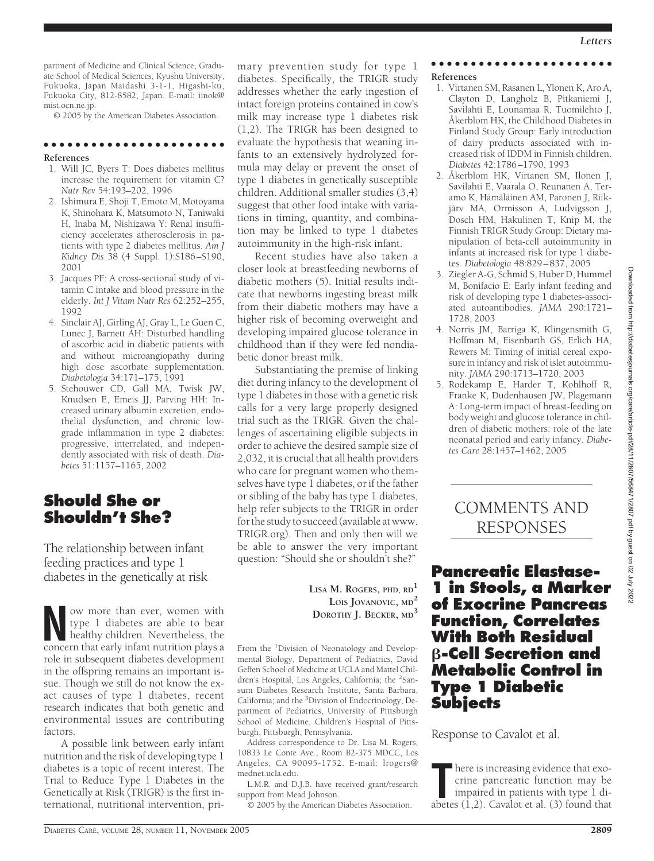partment of Medicine and Clinical Science, Graduate School of Medical Sciences, Kyushu University, Fukuoka, Japan Maidashi 3-1-1, Higashi-ku, Fukuoka City, 812-8582, Japan. E-mail: iinok@ mist.ocn.ne.jp.

© 2005 by the American Diabetes Association.

### ●●●●●●●●●●●●●●●●●●●●●●● **References**

- 1. Will JC, Byers T: Does diabetes mellitus increase the requirement for vitamin C? *Nutr Rev* 54:193–202, 1996
- 2. Ishimura E, Shoji T, Emoto M, Motoyama K, Shinohara K, Matsumoto N, Taniwaki H, Inaba M, Nishizawa Y: Renal insufficiency accelerates atherosclerosis in patients with type 2 diabetes mellitus. *Am J Kidney Dis* 38 (4 Suppl. 1):S186–S190, 2001
- 3. Jacques PF: A cross-sectional study of vitamin C intake and blood pressure in the elderly. *Int J Vitam Nutr Res* 62:252–255, 1992
- 4. Sinclair AJ, Girling AJ, Gray L, Le Guen C, Lunec J, Barnett AH: Disturbed handling of ascorbic acid in diabetic patients with and without microangiopathy during high dose ascorbate supplementation. *Diabetologia* 34:171–175, 1991
- 5. Stehouwer CD, Gall MA, Twisk JW, Knudsen E, Emeis JJ, Parving HH: Increased urinary albumin excretion, endothelial dysfunction, and chronic lowgrade inflammation in type 2 diabetes: progressive, interrelated, and independently associated with risk of death. *Diabetes* 51:1157–1165, 2002

# **Should She or Shouldn't She?**

The relationship between infant feeding practices and type 1 diabetes in the genetically at risk

w more than ever, women with<br>type 1 diabetes are able to bear<br>healthy children. Nevertheless, the<br>concern that early infant nutrition plays a type 1 diabetes are able to bear concern that early infant nutrition plays a role in subsequent diabetes development in the offspring remains an important issue. Though we still do not know the exact causes of type 1 diabetes, recent research indicates that both genetic and environmental issues are contributing factors.

A possible link between early infant nutrition and the risk of developing type 1 diabetes is a topic of recent interest. The Trial to Reduce Type 1 Diabetes in the Genetically at Risk (TRIGR) is the first international, nutritional intervention, primary prevention study for type 1 diabetes. Specifically, the TRIGR study addresses whether the early ingestion of intact foreign proteins contained in cow's milk may increase type 1 diabetes risk (1,2). The TRIGR has been designed to evaluate the hypothesis that weaning infants to an extensively hydrolyzed formula may delay or prevent the onset of type 1 diabetes in genetically susceptible children. Additional smaller studies (3,4) suggest that other food intake with variations in timing, quantity, and combination may be linked to type 1 diabetes autoimmunity in the high-risk infant.

Recent studies have also taken a closer look at breastfeeding newborns of diabetic mothers (5). Initial results indicate that newborns ingesting breast milk from their diabetic mothers may have a higher risk of becoming overweight and developing impaired glucose tolerance in childhood than if they were fed nondiabetic donor breast milk.

Substantiating the premise of linking diet during infancy to the development of type 1 diabetes in those with a genetic risk calls for a very large properly designed trial such as the TRIGR. Given the challenges of ascertaining eligible subjects in order to achieve the desired sample size of 2,032, it is crucial that all health providers who care for pregnant women who themselves have type 1 diabetes, or if the father or sibling of the baby has type 1 diabetes, help refer subjects to the TRIGR in order for the study to succeed (available at www. TRIGR.org). Then and only then will we be able to answer the very important question: "Should she or shouldn't she?"

> **LISA M. ROGERS, PHD, RD1 LOIS JOVANOVIC, MD<sup>2</sup> DOROTHY J. BECKER, MD<sup>3</sup>**

From the <sup>1</sup>Division of Neonatology and Developmental Biology, Department of Pediatrics, David Geffen School of Medicine at UCLA and Mattel Children's Hospital, Los Angeles, California; the <sup>2</sup>Sansum Diabetes Research Institute, Santa Barbara, California; and the <sup>3</sup>Division of Endocrinology, Department of Pediatrics, University of Pittsburgh School of Medicine, Children's Hospital of Pittsburgh, Pittsburgh, Pennsylvania.

Address correspondence to Dr. Lisa M. Rogers, 10833 Le Conte Ave., Room B2-375 MDCC, Los Angeles, CA 90095-1752. E-mail: lrogers@ mednet.ucla.edu.

L.M.R. and D.J.B. have received grant/research support from Mead Johnson.

© 2005 by the American Diabetes Association.

### ●●●●●●●●●●●●●●●●●●●●●●● **References**

- 1. Virtanen SM, Rasanen L, Ylonen K, Aro A, Clayton D, Langholz B, Pitkaniemi J, Savilahti E, Lounamaa R, Tuomilehto J, Åkerblom HK, the Childhood Diabetes in Finland Study Group: Early introduction of dairy products associated with increased risk of IDDM in Finnish children. *Diabetes* 42:1786–1790, 1993
- 2. Åkerblom HK, Virtanen SM, Ilonen J, Savilahti E, Vaarala O, Reunanen A, Teramo K, Hämäläinen AM, Paronen J, Riikjärv MA, Ormisson A, Ludvigsson J, Dosch HM, Hakulinen T, Knip M, the Finnish TRIGR Study Group: Dietary manipulation of beta-cell autoimmunity in infants at increased risk for type 1 diabetes. *Diabetologia* 48:829–837, 2005
- 3. Ziegler A-G, Schmid S, Huber D, Hummel M, Bonifacio E: Early infant feeding and risk of developing type 1 diabetes-associated autoantibodies. *JAMA* 290:1721– 1728, 2003
- 4. Norris JM, Barriga K, Klingensmith G, Hoffman M, Eisenbarth GS, Erlich HA, Rewers M: Timing of initial cereal exposure in infancy and risk of islet autoimmunity. *JAMA* 290:1713–1720, 2003
- 5. Rodekamp E, Harder T, Kohlhoff R, Franke K, Dudenhausen JW, Plagemann A: Long-term impact of breast-feeding on body weight and glucose tolerance in children of diabetic mothers: role of the late neonatal period and early infancy. *Diabetes Care* 28:1457–1462, 2005

# COMMENTS AND RESPONSES

**Pancreatic Elastase-1 in Stools, a Marker of Exocrine Pancreas Function, Correlates With Both Residual -Cell Secretion and Metabolic Control in Type 1 Diabetic Subjects**

Response to Cavalot et al.

There is increasing evidence that exocrine pancreatic function may be impaired in patients with type 1 diabetes (1,2). Cavalot et al. (3) found that here is increasing evidence that exocrine pancreatic function may be impaired in patients with type 1 di-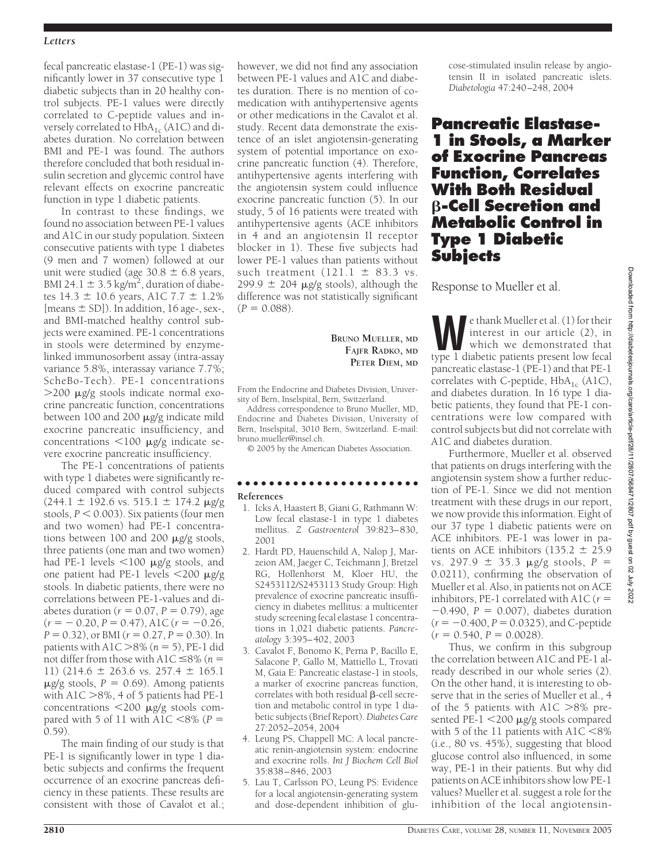### *Letters*

fecal pancreatic elastase-1 (PE-1) was significantly lower in 37 consecutive type 1 diabetic subjects than in 20 healthy control subjects. PE-1 values were directly correlated to C-peptide values and inversely correlated to  $HbA_{1c}$  (A1C) and diabetes duration. No correlation between BMI and PE-1 was found. The authors therefore concluded that both residual insulin secretion and glycemic control have relevant effects on exocrine pancreatic function in type 1 diabetic patients.

In contrast to these findings, we found no association between PE-1 values and A1C in our study population. Sixteen consecutive patients with type 1 diabetes (9 men and 7 women) followed at our unit were studied (age  $30.8 \pm 6.8$  years, BMI 24.1  $\pm$  3.5 kg/m<sup>2</sup>, duration of diabetes  $14.3 \pm 10.6$  years, A1C  $7.7 \pm 1.2\%$ [means  $\pm$  SD]). In addition, 16 age-, sex-, and BMI-matched healthy control subjects were examined. PE-1 concentrations in stools were determined by enzymelinked immunosorbent assay (intra-assay variance 5.8%, interassay variance 7.7%; ScheBo-Tech). PE-1 concentrations  $>$ 200  $\mu$ g/g stools indicate normal exocrine pancreatic function, concentrations between  $100$  and  $200 \mu$ g/g indicate mild exocrine pancreatic insufficiency, and concentrations  $\langle 100 \mu$ g/g indicate severe exocrine pancreatic insufficiency.

The PE-1 concentrations of patients with type 1 diabetes were significantly reduced compared with control subjects  $(244.1 \pm 192.6 \text{ vs. } 515.1 \pm 174.2 \text{ µg/g})$ stools,  $P < 0.003$ ). Six patients (four men and two women) had PE-1 concentrations between 100 and 200  $\mu$ g/g stools, three patients (one man and two women) had PE-1 levels  $\lt$ 100  $\mu$ g/g stools, and one patient had PE-1 levels  $\langle 200 \mu g/g$ stools. In diabetic patients, there were no correlations between PE-1-values and diabetes duration ( $r = 0.07$ ,  $P = 0.79$ ), age  $(r = -0.20, P = 0.47),$  A1C  $(r = -0.26,$  $P = 0.32$ ), or BMI ( $r = 0.27$ ,  $P = 0.30$ ). In patients with  $A1C > 8\%$  ( $n = 5$ ), PE-1 did not differ from those with  $A1C \leq 8\%$  (*n* = 11) (214.6  $\pm$  263.6 vs. 257.4  $\pm$  165.1  $\mu$ g/g stools,  $P = 0.69$ ). Among patients with A1C  $>$ 8%, 4 of 5 patients had PE-1 concentrations  $\langle 200 \mu$ g/g stools compared with 5 of 11 with A1C  $< 8\%$  ( $P =$ 0.59).

The main finding of our study is that PE-1 is significantly lower in type 1 diabetic subjects and confirms the frequent occurrence of an exocrine pancreas deficiency in these patients. These results are consistent with those of Cavalot et al.;

however, we did not find any association between PE-1 values and A1C and diabetes duration. There is no mention of comedication with antihypertensive agents or other medications in the Cavalot et al. study. Recent data demonstrate the existence of an islet angiotensin-generating system of potential importance on exocrine pancreatic function (4). Therefore, antihypertensive agents interfering with the angiotensin system could influence exocrine pancreatic function (5). In our study, 5 of 16 patients were treated with antihypertensive agents (ACE inhibitors in 4 and an angiotensin II receptor blocker in 1). These five subjects had lower PE-1 values than patients without such treatment  $(121.1 \pm 83.3 \text{ vs.})$  $299.9 \pm 204$   $\mu$ g/g stools), although the difference was not statistically significant  $(P = 0.088)$ .

> **BRUNO MUELLER, MD FAJFR RADKO, MD PETER DIEM, MD**

From the Endocrine and Diabetes Division, University of Bern, Inselspital, Bern, Switzerland.

Address correspondence to Bruno Mueller, MD, Endocrine and Diabetes Division, University of Bern, Inselspital, 3010 Bern, Switzerland. E-mail: bruno.mueller@insel.ch.

© 2005 by the American Diabetes Association.

### ●●●●●●●●●●●●●●●●●●●●●●● **References**

- 1. Icks A, Haastert B, Giani G, Rathmann W: Low fecal elastase-1 in type 1 diabetes mellitus. *Z Gastroenterol* 39:823–830, 2001
- 2. Hardt PD, Hauenschild A, Nalop J, Marzeion AM, Jaeger C, Teichmann J, Bretzel RG, Hollenhorst M, Kloer HU, the S2453112/S2453113 Study Group: High prevalence of exocrine pancreatic insufficiency in diabetes mellitus: a multicenter study screening fecal elastase 1 concentrations in 1,021 diabetic patients. *Pancreatology* 3:395–402, 2003
- 3. Cavalot F, Bonomo K, Perna P, Bacillo E, Salacone P, Gallo M, Mattiello L, Trovati M, Gaia E: Pancreatic elastase-1 in stools, a marker of exocrine pancreas function,  $correlates with both residual  $\beta$ -cell *secret*$ tion and metabolic control in type 1 diabetic subjects (Brief Report).*Diabetes Care* 27:2052–2054, 2004
- 4. Leung PS, Chappell MC: A local pancreatic renin-angiotensin system: endocrine and exocrine rolls. *Int J Biochem Cell Biol* 35:838–846, 2003
- 5. Lau T, Carlsson PO, Leung PS: Evidence for a local angiotensin-generating system and dose-dependent inhibition of glu-

cose-stimulated insulin release by angiotensin II in isolated pancreatic islets. *Diabetologia* 47:240–248, 2004

# **Pancreatic Elastase-1 in Stools, a Marker of Exocrine Pancreas Function, Correlates With Both Residual -Cell Secretion and Metabolic Control in Type 1 Diabetic Subjects**

Response to Mueller et al.

**W**e thank Mueller et al. (1) for their interest in our article (2), in which we demonstrated that type 1 diabetic patients present low fecal pancreatic elastase-1 (PE-1) and that PE-1 correlates with C-peptide,  $HbA_{1c}$  (A1C), and diabetes duration. In 16 type 1 diabetic patients, they found that PE-1 concentrations were low compared with control subjects but did not correlate with A1C and diabetes duration.

Furthermore, Mueller et al. observed that patients on drugs interfering with the angiotensin system show a further reduction of PE-1. Since we did not mention treatment with these drugs in our report, we now provide this information. Eight of our 37 type 1 diabetic patients were on ACE inhibitors. PE-1 was lower in patients on ACE inhibitors (135.2  $\pm$  25.9 vs. 297.9  $\pm$  35.3  $\mu$ g/g stools, *P* = 0.0211), confirming the observation of Mueller et al. Also, in patients not on ACE inhibitors, PE-1 correlated with A1C ( $r =$  $-0.490$ ,  $P = 0.007$ ), diabetes duration  $(r = -0.400, P = 0.0325)$ , and C-peptide  $(r = 0.540, P = 0.0028).$ 

Thus, we confirm in this subgroup the correlation between A1C and PE-1 already described in our whole series (2). On the other hand, it is interesting to observe that in the series of Mueller et al., 4 of the 5 patients with  $A1C > 8\%$  presented PE- $1$  <200  $\mu$ g/g stools compared with 5 of the 11 patients with  $A1C < 8\%$ (i.e., 80 vs. 45%), suggesting that blood glucose control also influenced, in some way, PE-1 in their patients. But why did patients on ACE inhibitors show low PE-1 values? Mueller et al. suggest a role for the inhibition of the local angiotensin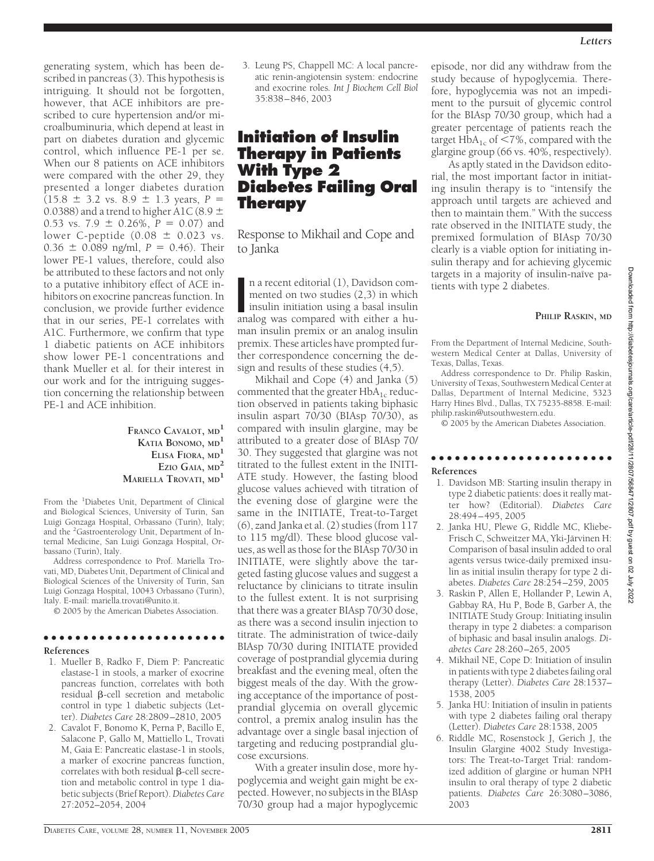generating system, which has been described in pancreas (3). This hypothesis is intriguing. It should not be forgotten, however, that ACE inhibitors are prescribed to cure hypertension and/or microalbuminuria, which depend at least in part on diabetes duration and glycemic control, which influence PE-1 per se. When our 8 patients on ACE inhibitors were compared with the other 29, they presented a longer diabetes duration  $(15.8 \pm 3.2 \text{ vs. } 8.9 \pm 1.3 \text{ years}, P =$ 0.0388) and a trend to higher A1C (8.9  $\pm$ 0.53 vs. 7.9  $\pm$  0.26%, *P* = 0.07) and lower C-peptide (0.08  $\pm$  0.023 vs.  $0.36 \pm 0.089$  ng/ml,  $P = 0.46$ ). Their lower PE-1 values, therefore, could also be attributed to these factors and not only to a putative inhibitory effect of ACE inhibitors on exocrine pancreas function. In conclusion, we provide further evidence that in our series, PE-1 correlates with A1C. Furthermore, we confirm that type 1 diabetic patients on ACE inhibitors show lower PE-1 concentrations and thank Mueller et al. for their interest in our work and for the intriguing suggestion concerning the relationship between PE-1 and ACE inhibition.

> **FRANCO CAVALOT, MD<sup>1</sup> KATIA BONOMO, MD<sup>1</sup> ELISA FIORA, MD<sup>1</sup> EZIO GAIA, MD<sup>2</sup> MARIELLA TROVATI, MD<sup>1</sup>**

From the <sup>1</sup>Diabetes Unit, Department of Clinical and Biological Sciences, University of Turin, San Luigi Gonzaga Hospital, Orbassano (Turin), Italy; and the <sup>2</sup>Gastroenterology Unit, Department of Internal Medicine, San Luigi Gonzaga Hospital, Orbassano (Turin), Italy.

Address correspondence to Prof. Mariella Trovati, MD, Diabetes Unit, Department of Clinical and Biological Sciences of the University of Turin, San Luigi Gonzaga Hospital, 10043 Orbassano (Turin), Italy. E-mail: mariella.trovati@unito.it.

© 2005 by the American Diabetes Association.

### ●●●●●●●●●●●●●●●●●●●●●●●

### **References**

- 1. Mueller B, Radko F, Diem P: Pancreatic elastase-1 in stools, a marker of exocrine pancreas function, correlates with both  $r$ esidual  $\beta$ -cell secretion and metabolic control in type 1 diabetic subjects (Letter). *Diabetes Care* 28:2809–2810, 2005
- 2. Cavalot F, Bonomo K, Perna P, Bacillo E, Salacone P, Gallo M, Mattiello L, Trovati M, Gaia E: Pancreatic elastase-1 in stools, a marker of exocrine pancreas function, correlates with both residual  $\beta$ -cell secretion and metabolic control in type 1 diabetic subjects (Brief Report).*Diabetes Care* 27:2052–2054, 2004

3. Leung PS, Chappell MC: A local pancreatic renin-angiotensin system: endocrine and exocrine roles*. Int J Biochem Cell Biol* 35:838–846, 2003

# **Initiation of Insulin Therapy in Patients With Type 2 Diabetes Failing Oral Therapy**

Response to Mikhail and Cope and to Janka

n a recent editorial (1), Davidson com-<br>mented on two studies (2,3) in which<br>insulin initiation using a basal insulin<br>analog was compared with either a hun a recent editorial (1), Davidson commented on two studies (2,3) in which insulin initiation using a basal insulin man insulin premix or an analog insulin premix. These articles have prompted further correspondence concerning the design and results of these studies (4,5).

Mikhail and Cope (4) and Janka (5) commented that the greater  $HbA_{1c}$  reduction observed in patients taking biphasic insulin aspart 70/30 (BIAsp 70/30), as compared with insulin glargine, may be attributed to a greater dose of BIAsp 70/ 30. They suggested that glargine was not titrated to the fullest extent in the INITI-ATE study. However, the fasting blood glucose values achieved with titration of the evening dose of glargine were the same in the INITIATE, Treat-to-Target (6), zand Janka et al. (2) studies (from 117 to 115 mg/dl). These blood glucose values, as well as those for the BIAsp 70/30 in INITIATE, were slightly above the targeted fasting glucose values and suggest a reluctance by clinicians to titrate insulin to the fullest extent. It is not surprising that there was a greater BIAsp 70/30 dose, as there was a second insulin injection to titrate. The administration of twice-daily BIAsp 70/30 during INITIATE provided coverage of postprandial glycemia during breakfast and the evening meal, often the biggest meals of the day. With the growing acceptance of the importance of postprandial glycemia on overall glycemic control, a premix analog insulin has the advantage over a single basal injection of targeting and reducing postprandial glucose excursions.

With a greater insulin dose, more hypoglycemia and weight gain might be expected. However, no subjects in the BIAsp 70/30 group had a major hypoglycemic

episode, nor did any withdraw from the study because of hypoglycemia. Therefore, hypoglycemia was not an impediment to the pursuit of glycemic control for the BIAsp 70/30 group, which had a greater percentage of patients reach the target  $HbA_{1c}$  of  $\leq 7\%$ , compared with the glargine group (66 vs. 40%, respectively).

As aptly stated in the Davidson editorial, the most important factor in initiating insulin therapy is to "intensify the approach until targets are achieved and then to maintain them." With the success rate observed in the INITIATE study, the premixed formulation of BIAsp 70/30 clearly is a viable option for initiating insulin therapy and for achieving glycemic targets in a majority of insulin-naïve patients with type 2 diabetes.

### **PHILIP RASKIN, MD**

From the Department of Internal Medicine, Southwestern Medical Center at Dallas, University of Texas, Dallas, Texas.

Address correspondence to Dr. Philip Raskin, University of Texas, Southwestern Medical Center at Dallas, Department of Internal Medicine, 5323 Harry Hines Blvd., Dallas, TX 75235-8858. E-mail: philip.raskin@utsouthwestern.edu.

© 2005 by the American Diabetes Association.

### ●●●●●●●●●●●●●●●●●●●●●●● **References**

- 1. Davidson MB: Starting insulin therapy in type 2 diabetic patients: does it really matter how? (Editorial). *Diabetes Care* 28:494–495, 2005
- 2. Janka HU, Plewe G, Riddle MC, Kliebe-Frisch C, Schweitzer MA, Yki-Järvinen H: Comparison of basal insulin added to oral agents versus twice-daily premixed insulin as initial insulin therapy for type 2 diabetes. *Diabetes Care* 28:254–259, 2005
- 3. Raskin P, Allen E, Hollander P, Lewin A, Gabbay RA, Hu P, Bode B, Garber A, the INITIATE Study Group: Initiating insulin therapy in type 2 diabetes: a comparison of biphasic and basal insulin analogs. *Diabetes Care* 28:260–265, 2005
- 4. Mikhail NE, Cope D: Initiation of insulin in patients with type 2 diabetes failing oral therapy (Letter). *Diabetes Care* 28:1537– 1538, 2005
- 5. Janka HU: Initiation of insulin in patients with type 2 diabetes failing oral therapy (Letter). *Diabetes Care* 28:1538, 2005
- 6. Riddle MC, Rosenstock J, Gerich J, the Insulin Glargine 4002 Study Investigators: The Treat-to-Target Trial: randomized addition of glargine or human NPH insulin to oral therapy of type 2 diabetic patients. *Diabetes Care* 26:3080–3086, 2003